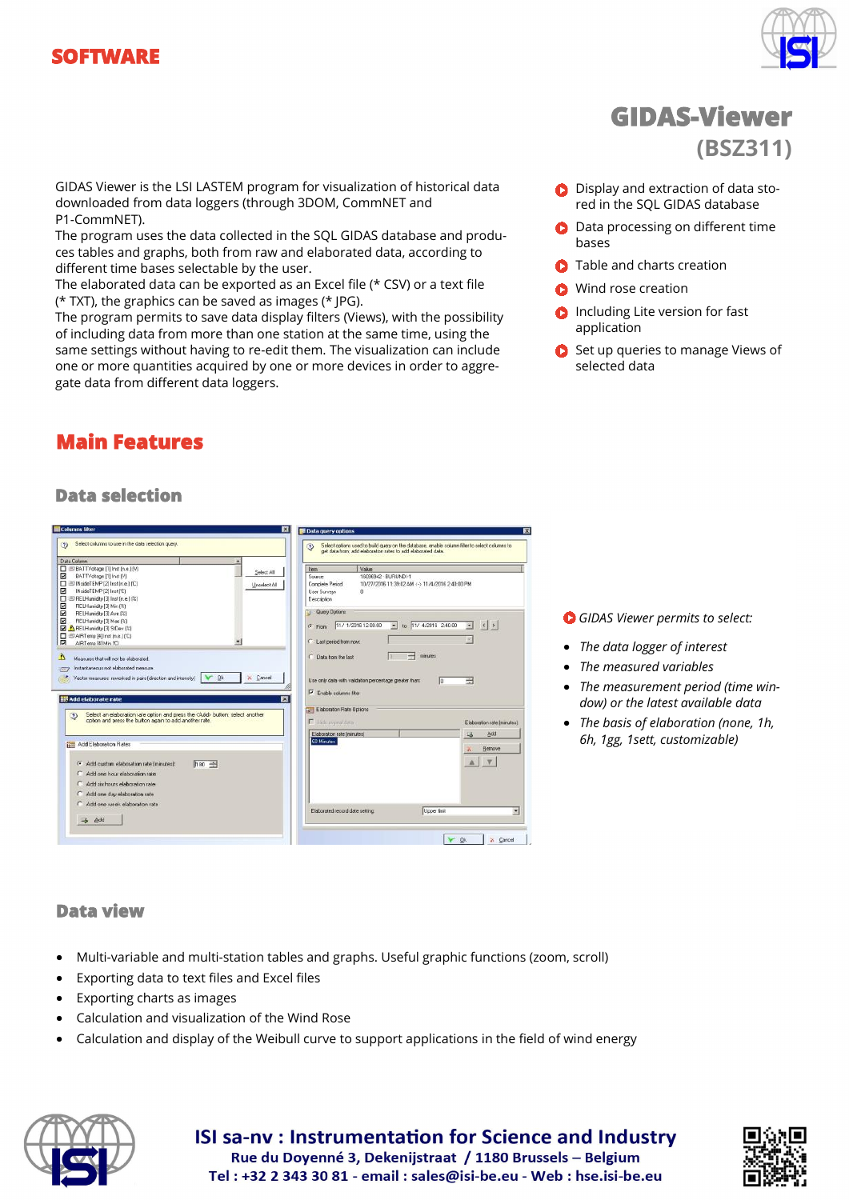



## GIDAS Viewer is the LSI LASTEM program for visualization of historical data downloaded from data loggers (through 3DOM, CommNET and P1-CommNET).

The program uses the data collected in the SQL GIDAS database and produces tables and graphs, both from raw and elaborated data, according to different time bases selectable by the user.

The elaborated data can be exported as an Excel file (\* CSV) or a text file (\* TXT), the graphics can be saved as images (\* JPG).

The program permits to save data display filters (Views), with the possibility of including data from more than one station at the same time, using the same settings without having to re-edit them. The visualization can include one or more quantities acquired by one or more devices in order to aggregate data from different data loggers.

# **Main Features**

# **GIDAS-Viewer (BSZ311)**

- **D** Display and extraction of data stored in the SQL GIDAS database
- **O** Data processing on different time bases
- **C** Table and charts creation
- **O** Wind rose creation
- **C** Including Lite version for fast application
- Set up queries to manage Views of selected data

## **Data selection**

|                                                                                                                                                                                            | <b>E</b> Data query options                                                                                                                                                        |
|--------------------------------------------------------------------------------------------------------------------------------------------------------------------------------------------|------------------------------------------------------------------------------------------------------------------------------------------------------------------------------------|
| Select columns to use in the data selection query.                                                                                                                                         | Select options used to build query on the database, enable column filter to select columns to<br>$\left( 2\right)$<br>get data from: add elaboration rates to add elaborated data. |
| Data Column<br>ET @PBATTVoltage [1] Inst [n.e.] [V]<br>Select All<br>⊠<br>BATTVoltage [1] Inst [V]<br>□ E/ INsideTEMP [2] Inst (n.e.) [℃]<br>Unselect All<br>☑<br>INsideTEMP [2] Inst ['C] | <b>Item</b><br>Vakie<br>16096942 - BURLINDI-1<br>Source<br>Complete Period<br>10/27/2016 11:39:02 AM <- > 11/4/2016 2:40:00 PM<br>User Surveys<br>л                                |
| 图 RELHumidity [3] Inst (n.e.) (2)<br>RELHumidity [3] Min (%)<br>RELHumidity [3] Ave [%]<br>RELHumidity [3] Max (%)<br>RELHumidity [3] StDev [%]                                            | Description<br>Query Options<br>$\frac{1}{2}$ to 11/4/2016 240:00<br>$\left  \cdot \right $<br>11/ 1/2016 12:00:00<br>圖<br>$G$ From                                                |
| □ ED AIRTemp [4] Inst (n.e.] [°C]<br>AIRTemp (4) Min (C)<br>Measures that will not be elaborated.                                                                                          | C Last period from now.<br>minutes<br>극<br>C Data from the last                                                                                                                    |
| Instantaneous not elaborated measure.<br>X Cancel<br>V Ok<br>Vector measures: reworked in pairs (direction and intensity)                                                                  | Use only data with validation percentage greater than:<br>긤<br>lα                                                                                                                  |
| 两                                                                                                                                                                                          | $\nabla$ Enable columns filter<br><b>Com</b> Elaboration Rate Options                                                                                                              |
| <b>III Add elaborate rate</b><br>Select an elaboration rate option and press the CAdd> button: select another<br>◉<br>option and press the button again to add another rate.               | F Hide overal data<br>Elaboration rate (minutes):                                                                                                                                  |
| Add Eleboration Rates<br>F Add custom elaboration rate (minutes);<br>h so -<br>Add one hour elaboration rate<br>Add six hours elaboration rate.<br>C Add one day elaboration rate          | Add<br>Elaboration rate (minutes)<br>这<br>60 Minutes<br>Remove<br>×                                                                                                                |

- *GIDAS Viewer permits to select:*
- *The data logger of interest*
- *The measured variables*
- *The measurement period (time window) or the latest available data*
- *The basis of elaboration (none, 1h, 6h, 1gg, 1sett, customizable)*

#### **Data view**

- Multi-variable and multi-station tables and graphs. Useful graphic functions (zoom, scroll)
- Exporting data to text files and Excel files
- Exporting charts as images
- Calculation and visualization of the Wind Rose
- Calculation and display of the Weibull curve to support applications in the field of wind energy



#### **ISI sa-nv: Instrumentation for Science and Industry** Rue du Doyenné 3, Dekenijstraat / 1180 Brussels - Belgium Tel: +32 2 343 30 81 - email: sales@isi-be.eu - Web: hse.isi-be.eu